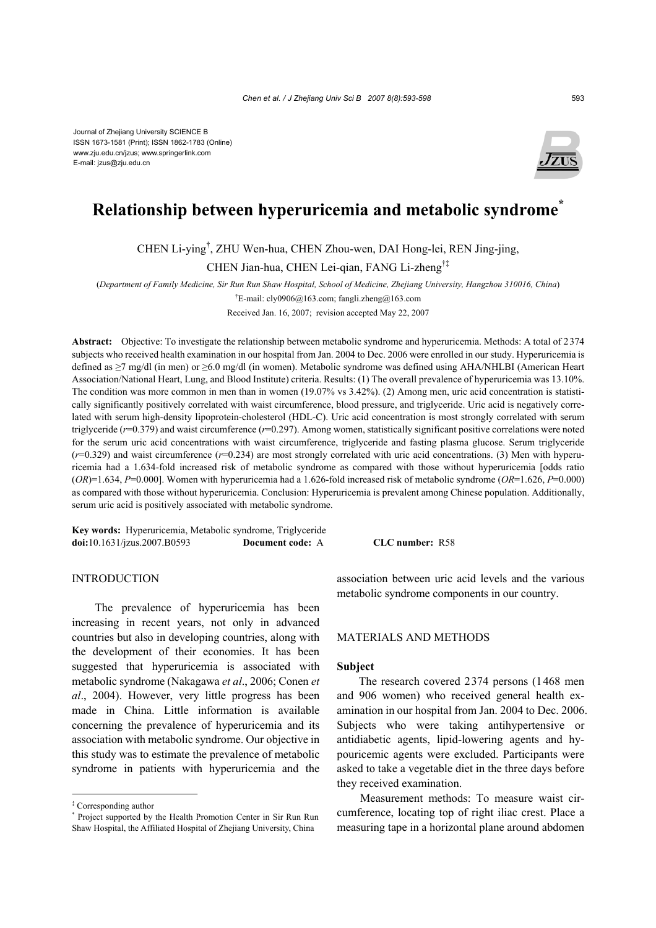Journal of Zhejiang University SCIENCE B ISSN 1673-1581 (Print); ISSN 1862-1783 (Online) www.zju.edu.cn/jzus; www.springerlink.com E-mail: jzus@zju.edu.cn



# **Relationship between hyperuricemia and metabolic syndrome\***

CHEN Li-ying† , ZHU Wen-hua, CHEN Zhou-wen, DAI Hong-lei, REN Jing-jing,

CHEN Jian-hua, CHEN Lei-qian, FANG Li-zheng†‡

(*Department of Family Medicine, Sir Run Run Shaw Hospital, School of Medicine, Zhejiang University, Hangzhou 310016, China*) <sup>†</sup>E-mail: cly0906@163.com; fangli.zheng@163.com

Received Jan. 16, 2007; revision accepted May 22, 2007

**Abstract:** Objective: To investigate the relationship between metabolic syndrome and hyperuricemia. Methods: A total of 2374 subjects who received health examination in our hospital from Jan. 2004 to Dec. 2006 were enrolled in our study. Hyperuricemia is defined as ≥7 mg/dl (in men) or ≥6.0 mg/dl (in women). Metabolic syndrome was defined using AHA/NHLBI (American Heart Association/National Heart, Lung, and Blood Institute) criteria. Results: (1) The overall prevalence of hyperuricemia was 13.10%. The condition was more common in men than in women (19.07% vs 3.42%). (2) Among men, uric acid concentration is statistically significantly positively correlated with waist circumference, blood pressure, and triglyceride. Uric acid is negatively correlated with serum high-density lipoprotein-cholesterol (HDL-C). Uric acid concentration is most strongly correlated with serum triglyceride (*r*=0.379) and waist circumference (*r*=0.297). Among women, statistically significant positive correlations were noted for the serum uric acid concentrations with waist circumference, triglyceride and fasting plasma glucose. Serum triglyceride  $(r=0.329)$  and waist circumference  $(r=0.234)$  are most strongly correlated with uric acid concentrations. (3) Men with hyperuricemia had a 1.634-fold increased risk of metabolic syndrome as compared with those without hyperuricemia [odds ratio (*OR*)=1.634, *P*=0.000]. Women with hyperuricemia had a 1.626-fold increased risk of metabolic syndrome (*OR*=1.626, *P*=0.000) as compared with those without hyperuricemia. Conclusion: Hyperuricemia is prevalent among Chinese population. Additionally, serum uric acid is positively associated with metabolic syndrome.

**Key words:** Hyperuricemia, Metabolic syndrome, Triglyceride **doi:**10.1631/jzus.2007.B0593 **Document code:** A **CLC number:** R58

### INTRODUCTION

The prevalence of hyperuricemia has been increasing in recent years, not only in advanced countries but also in developing countries, along with the development of their economies. It has been suggested that hyperuricemia is associated with metabolic syndrome (Nakagawa *et al*., 2006; Conen *et al*., 2004). However, very little progress has been made in China. Little information is available concerning the prevalence of hyperuricemia and its association with metabolic syndrome. Our objective in this study was to estimate the prevalence of metabolic syndrome in patients with hyperuricemia and the

association between uric acid levels and the various metabolic syndrome components in our country.

## MATERIALS AND METHODS

#### **Subject**

The research covered 2374 persons (1468 men and 906 women) who received general health examination in our hospital from Jan. 2004 to Dec. 2006. Subjects who were taking antihypertensive or antidiabetic agents, lipid-lowering agents and hypouricemic agents were excluded. Participants were asked to take a vegetable diet in the three days before they received examination.

Measurement methods: To measure waist circumference, locating top of right iliac crest. Place a measuring tape in a horizontal plane around abdomen

<sup>‡</sup> Corresponding author

<sup>\*</sup> Project supported by the Health Promotion Center in Sir Run Run Shaw Hospital, the Affiliated Hospital of Zhejiang University, China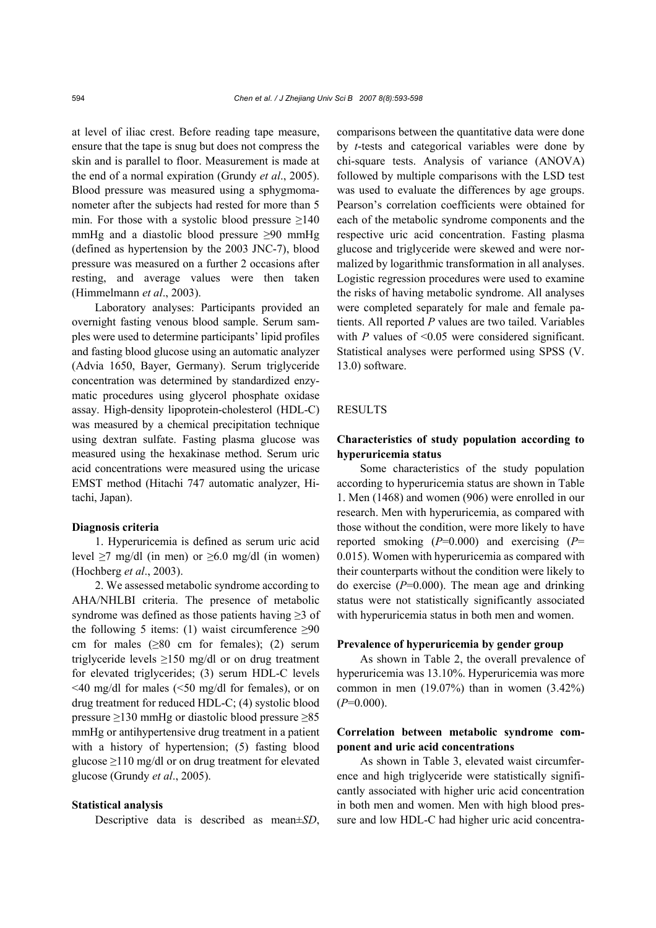at level of iliac crest. Before reading tape measure, ensure that the tape is snug but does not compress the skin and is parallel to floor. Measurement is made at the end of a normal expiration (Grundy *et al*., 2005). Blood pressure was measured using a sphygmomanometer after the subjects had rested for more than 5 min. For those with a systolic blood pressure  $\geq 140$ mmHg and a diastolic blood pressure ≥90 mmHg (defined as hypertension by the 2003 JNC-7), blood pressure was measured on a further 2 occasions after resting, and average values were then taken (Himmelmann *et al*., 2003).

Laboratory analyses: Participants provided an overnight fasting venous blood sample. Serum samples were used to determine participants' lipid profiles and fasting blood glucose using an automatic analyzer (Advia 1650, Bayer, Germany). Serum triglyceride concentration was determined by standardized enzymatic procedures using glycerol phosphate oxidase assay. High-density lipoprotein-cholesterol (HDL-C) was measured by a chemical precipitation technique using dextran sulfate. Fasting plasma glucose was measured using the hexakinase method. Serum uric acid concentrations were measured using the uricase EMST method (Hitachi 747 automatic analyzer, Hitachi, Japan).

### **Diagnosis criteria**

1. Hyperuricemia is defined as serum uric acid level  $\geq$ 7 mg/dl (in men) or  $\geq$ 6.0 mg/dl (in women) (Hochberg *et al*., 2003).

2. We assessed metabolic syndrome according to AHA/NHLBI criteria. The presence of metabolic syndrome was defined as those patients having ≥3 of the following 5 items: (1) waist circumference  $\geq 90$ cm for males  $(\geq 80$  cm for females); (2) serum triglyceride levels  $\geq 150$  mg/dl or on drug treatment for elevated triglycerides; (3) serum HDL-C levels <40 mg/dl for males (<50 mg/dl for females), or on drug treatment for reduced HDL-C; (4) systolic blood pressure ≥130 mmHg or diastolic blood pressure ≥85 mmHg or antihypertensive drug treatment in a patient with a history of hypertension; (5) fasting blood glucose  $\geq$ 110 mg/dl or on drug treatment for elevated glucose (Grundy *et al*., 2005).

### **Statistical analysis**

Descriptive data is described as mean±*SD*,

comparisons between the quantitative data were done by *t*-tests and categorical variables were done by chi-square tests. Analysis of variance (ANOVA) followed by multiple comparisons with the LSD test was used to evaluate the differences by age groups. Pearson's correlation coefficients were obtained for each of the metabolic syndrome components and the respective uric acid concentration. Fasting plasma glucose and triglyceride were skewed and were normalized by logarithmic transformation in all analyses. Logistic regression procedures were used to examine the risks of having metabolic syndrome. All analyses were completed separately for male and female patients. All reported *P* values are two tailed. Variables with  $P$  values of  $\leq 0.05$  were considered significant. Statistical analyses were performed using SPSS (V. 13.0) software.

# **RESULTS**

# **Characteristics of study population according to hyperuricemia status**

Some characteristics of the study population according to hyperuricemia status are shown in Table 1. Men (1468) and women (906) were enrolled in our research. Men with hyperuricemia, as compared with those without the condition, were more likely to have reported smoking (*P*=0.000) and exercising (*P*= 0.015). Women with hyperuricemia as compared with their counterparts without the condition were likely to do exercise (*P*=0.000). The mean age and drinking status were not statistically significantly associated with hyperuricemia status in both men and women.

### **Prevalence of hyperuricemia by gender group**

As shown in Table 2, the overall prevalence of hyperuricemia was 13.10%. Hyperuricemia was more common in men (19.07%) than in women (3.42%)  $(P=0.000)$ .

### **Correlation between metabolic syndrome component and uric acid concentrations**

As shown in Table 3, elevated waist circumference and high triglyceride were statistically significantly associated with higher uric acid concentration in both men and women. Men with high blood pressure and low HDL-C had higher uric acid concentra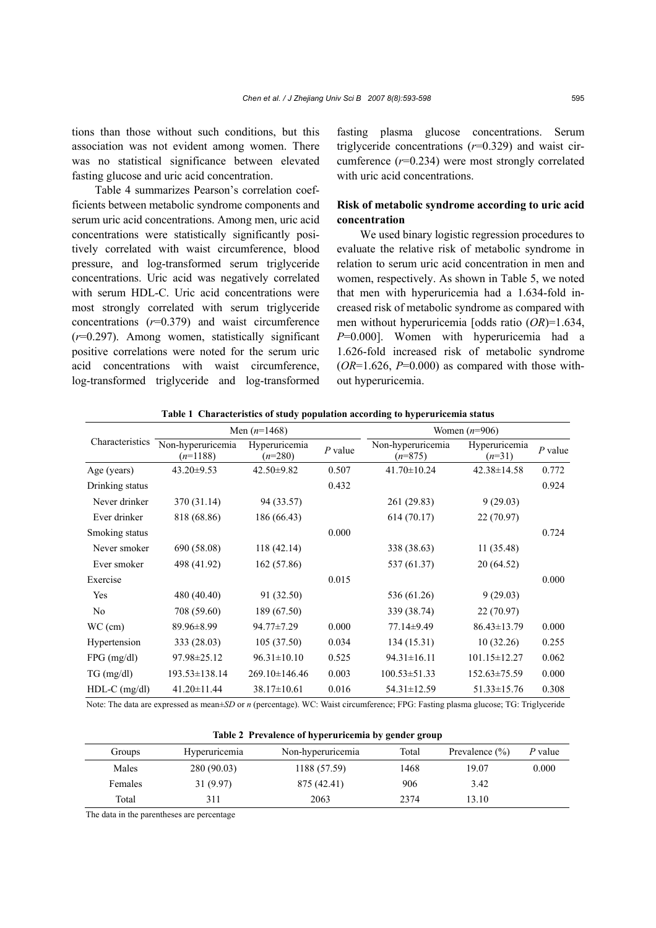tions than those without such conditions, but this association was not evident among women. There was no statistical significance between elevated fasting glucose and uric acid concentration.

Table 4 summarizes Pearson's correlation coefficients between metabolic syndrome components and serum uric acid concentrations. Among men, uric acid concentrations were statistically significantly positively correlated with waist circumference, blood pressure, and log-transformed serum triglyceride concentrations. Uric acid was negatively correlated with serum HDL-C. Uric acid concentrations were most strongly correlated with serum triglyceride concentrations  $(r=0.379)$  and waist circumference (*r*=0.297). Among women, statistically significant positive correlations were noted for the serum uric acid concentrations with waist circumference, log-transformed triglyceride and log-transformed fasting plasma glucose concentrations. Serum triglyceride concentrations (*r*=0.329) and waist circumference (*r*=0.234) were most strongly correlated with uric acid concentrations.

# **Risk of metabolic syndrome according to uric acid concentration**

We used binary logistic regression procedures to evaluate the relative risk of metabolic syndrome in relation to serum uric acid concentration in men and women, respectively. As shown in Table 5, we noted that men with hyperuricemia had a 1.634-fold increased risk of metabolic syndrome as compared with men without hyperuricemia [odds ratio (*OR*)=1.634, *P*=0.000]. Women with hyperuricemia had a 1.626-fold increased risk of metabolic syndrome  $(OR=1.626, P=0.000)$  as compared with those without hyperuricemia.

|                 |                                 | Men $(n=1468)$             |           | Women $(n=906)$                |                           |           |  |
|-----------------|---------------------------------|----------------------------|-----------|--------------------------------|---------------------------|-----------|--|
| Characteristics | Non-hyperuricemia<br>$(n=1188)$ | Hyperuricemia<br>$(n=280)$ | $P$ value | Non-hyperuricemia<br>$(n=875)$ | Hyperuricemia<br>$(n=31)$ | $P$ value |  |
| Age (years)     | $43.20 \pm 9.53$                | $42.50 \pm 9.82$           | 0.507     | $41.70 \pm 10.24$              | $42.38 \pm 14.58$         | 0.772     |  |
| Drinking status |                                 |                            | 0.432     |                                |                           | 0.924     |  |
| Never drinker   | 370 (31.14)                     | 94 (33.57)                 |           | 261 (29.83)                    | 9(29.03)                  |           |  |
| Ever drinker    | 818 (68.86)                     | 186 (66.43)                |           | 614(70.17)                     | 22 (70.97)                |           |  |
| Smoking status  |                                 |                            | 0.000     |                                |                           | 0.724     |  |
| Never smoker    | 690 (58.08)                     | 118(42.14)                 |           | 338 (38.63)                    | 11 (35.48)                |           |  |
| Ever smoker     | 498 (41.92)                     | 162 (57.86)                |           | 537 (61.37)                    | 20 (64.52)                |           |  |
| Exercise        |                                 |                            | 0.015     |                                |                           | 0.000     |  |
| Yes             | 480 (40.40)                     | 91 (32.50)                 |           | 536 (61.26)                    | 9(29.03)                  |           |  |
| N <sub>0</sub>  | 708 (59.60)                     | 189 (67.50)                |           | 339 (38.74)                    | 22(70.97)                 |           |  |
| $WC$ (cm)       | 89.96±8.99                      | 94.77±7.29                 | 0.000     | 77.14±9.49                     | $86.43 \pm 13.79$         | 0.000     |  |
| Hypertension    | 333 (28.03)                     | 105(37.50)                 | 0.034     | 134 (15.31)                    | 10(32.26)                 | 0.255     |  |
| FPG (mg/dl)     | 97.98±25.12                     | $96.31 \pm 10.10$          | 0.525     | $94.31 \pm 16.11$              | $101.15 \pm 12.27$        | 0.062     |  |
| $TG$ (mg/dl)    | 193.53±138.14                   | 269.10±146.46              | 0.003     | $100.53 \pm 51.33$             | $152.63 \pm 75.59$        | 0.000     |  |
| $HDL-C$ (mg/dl) | 41.20±11.44                     | $38.17 \pm 10.61$          | 0.016     | $54.31 \pm 12.59$              | $51.33 \pm 15.76$         | 0.308     |  |

**Table 1 Characteristics of study population according to hyperuricemia status**

Note: The data are expressed as mean±*SD* or *n* (percentage). WC: Waist circumference; FPG: Fasting plasma glucose; TG: Triglyceride

| Table 2 Prevalence of hyperuricemia by gender group |               |                   |       |                    |         |  |  |
|-----------------------------------------------------|---------------|-------------------|-------|--------------------|---------|--|--|
| Groups                                              | Hyperuricemia | Non-hyperuricemia | Total | Prevalence $(\% )$ | P value |  |  |
| Males                                               | 280 (90.03)   | 1188 (57.59)      | 1468  | 19.07              | 0.000   |  |  |
| Females                                             | 31(9.97)      | 875 (42.41)       | 906   | 3.42               |         |  |  |
| Total                                               | 311           | 2063              | 2374  | 13.10              |         |  |  |

The data in the parentheses are percentage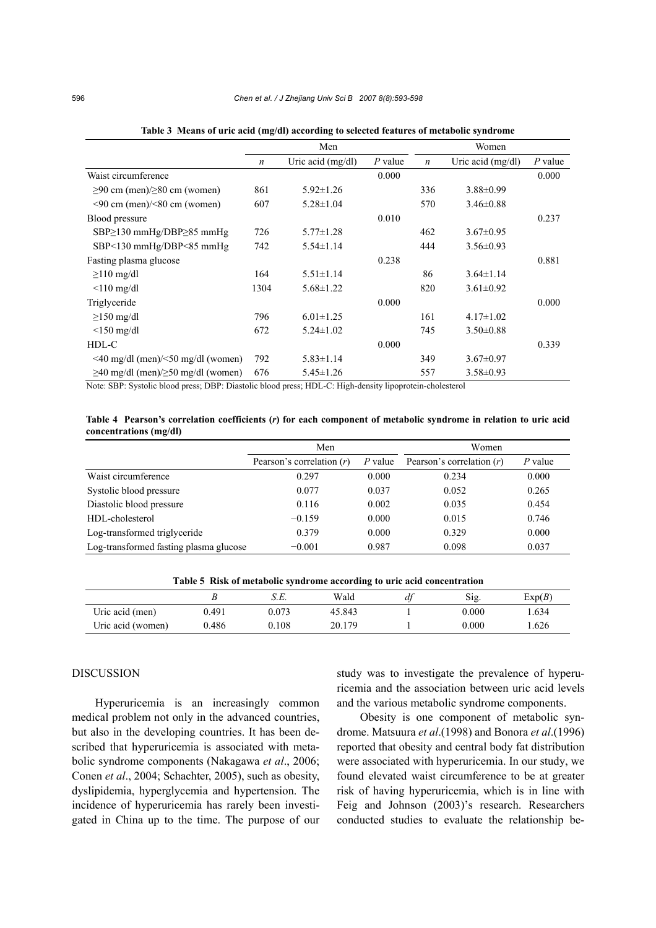|                                                                                                                                                                                                         | Men              |                                            |           | Women            |                   |           |
|---------------------------------------------------------------------------------------------------------------------------------------------------------------------------------------------------------|------------------|--------------------------------------------|-----------|------------------|-------------------|-----------|
|                                                                                                                                                                                                         | $\boldsymbol{n}$ | Uric acid $(mg/dl)$                        | $P$ value | $\boldsymbol{n}$ | Uric acid (mg/dl) | $P$ value |
| Waist circumference                                                                                                                                                                                     |                  |                                            | 0.000     |                  |                   | 0.000     |
| $\geq 90$ cm (men)/ $\geq 80$ cm (women)                                                                                                                                                                | 861              | $5.92 \pm 1.26$                            |           | 336              | $3.88 \pm 0.99$   |           |
| $\leq 90$ cm (men)/ $\leq 80$ cm (women)                                                                                                                                                                | 607              | $5.28 \pm 1.04$                            |           | 570              | $3.46\pm0.88$     |           |
| Blood pressure                                                                                                                                                                                          |                  |                                            | 0.010     |                  |                   | 0.237     |
| $SBP \geq 130$ mmHg/DBP $\geq 85$ mmHg                                                                                                                                                                  | 726              | $5.77 \pm 1.28$                            |           | 462              | $3.67 \pm 0.95$   |           |
| SBP<130 mmHg/DBP<85 mmHg                                                                                                                                                                                | 742              | $5.54 \pm 1.14$                            |           | 444              | $3.56 \pm 0.93$   |           |
| Fasting plasma glucose                                                                                                                                                                                  |                  |                                            | 0.238     |                  |                   | 0.881     |
| $\geq$ 110 mg/dl                                                                                                                                                                                        | 164              | $5.51 \pm 1.14$                            |           | 86               | $3.64 \pm 1.14$   |           |
| $\leq 110$ mg/dl                                                                                                                                                                                        | 1304             | $5.68 \pm 1.22$                            |           | 820              | $3.61 \pm 0.92$   |           |
| Triglyceride                                                                                                                                                                                            |                  |                                            | 0.000     |                  |                   | 0.000     |
| $\geq$ 150 mg/dl                                                                                                                                                                                        | 796              | $6.01 \pm 1.25$                            |           | 161              | $4.17 \pm 1.02$   |           |
| $\leq$ 150 mg/dl                                                                                                                                                                                        | 672              | $5.24 \pm 1.02$                            |           | 745              | $3.50\pm0.88$     |           |
| HDL-C                                                                                                                                                                                                   |                  |                                            | 0.000     |                  |                   | 0.339     |
| $\leq$ 40 mg/dl (men)/ $\leq$ 50 mg/dl (women)                                                                                                                                                          | 792              | $5.83 \pm 1.14$                            |           | 349              | $3.67 \pm 0.97$   |           |
| $\geq$ 40 mg/dl (men)/ $\geq$ 50 mg/dl (women)<br>676<br>$\mathbf{v}$ $\mathbf{v}$ $\mathbf{v}$ $\mathbf{v}$ $\mathbf{v}$ $\mathbf{v}$ $\mathbf{v}$ $\mathbf{v}$ $\mathbf{v}$ $\mathbf{v}$ $\mathbf{v}$ |                  | $5.45 \pm 1.26$<br>T T T T T T T T T T T T |           | 557              | $3.58 \pm 0.93$   |           |

**Table 3 Means of uric acid (mg/dl) according to selected features of metabolic syndrome**

Note: SBP: Systolic blood press; DBP: Diastolic blood press; HDL-C: High-density lipoprotein-cholesterol

**Table 4 Pearson's correlation coefficients (***r***) for each component of metabolic syndrome in relation to uric acid concentrations (mg/dl)**

|                                        | Men                         |           | Women                       |           |  |
|----------------------------------------|-----------------------------|-----------|-----------------------------|-----------|--|
|                                        | Pearson's correlation $(r)$ | $P$ value | Pearson's correlation $(r)$ | $P$ value |  |
| Waist circumference                    | 0.297                       | 0.000     | 0.234                       | 0.000     |  |
| Systolic blood pressure                | 0.077                       | 0.037     | 0.052                       | 0.265     |  |
| Diastolic blood pressure               | 0.116                       | 0.002     | 0.035                       | 0.454     |  |
| HDL-cholesterol                        | $-0.159$                    | 0.000     | 0.015                       | 0.746     |  |
| Log-transformed triglyceride           | 0.379                       | 0.000     | 0.329                       | 0.000     |  |
| Log-transformed fasting plasma glucose | $-0.001$                    | 0.987     | 0.098                       | 0.037     |  |

**Table 5 Risk of metabolic syndrome according to uric acid concentration**

|                   |       | o.c.  | Wald   | df | Sig.  | Exp(B) |
|-------------------|-------|-------|--------|----|-------|--------|
| Uric acid (men)   | 0.491 | 0.073 | 45.843 |    | 0.000 | .634   |
| Uric acid (women) | 0.486 | 0.108 | 20.179 |    | 0.000 | .626   |

# DISCUSSION

Hyperuricemia is an increasingly common medical problem not only in the advanced countries, but also in the developing countries. It has been described that hyperuricemia is associated with metabolic syndrome components (Nakagawa *et al*., 2006; Conen *et al*., 2004; Schachter, 2005), such as obesity, dyslipidemia, hyperglycemia and hypertension. The incidence of hyperuricemia has rarely been investigated in China up to the time. The purpose of our study was to investigate the prevalence of hyperuricemia and the association between uric acid levels and the various metabolic syndrome components.

Obesity is one component of metabolic syndrome. Matsuura *et al*.(1998) and Bonora *et al*.(1996) reported that obesity and central body fat distribution were associated with hyperuricemia. In our study, we found elevated waist circumference to be at greater risk of having hyperuricemia, which is in line with Feig and Johnson (2003)'s research. Researchers conducted studies to evaluate the relationship be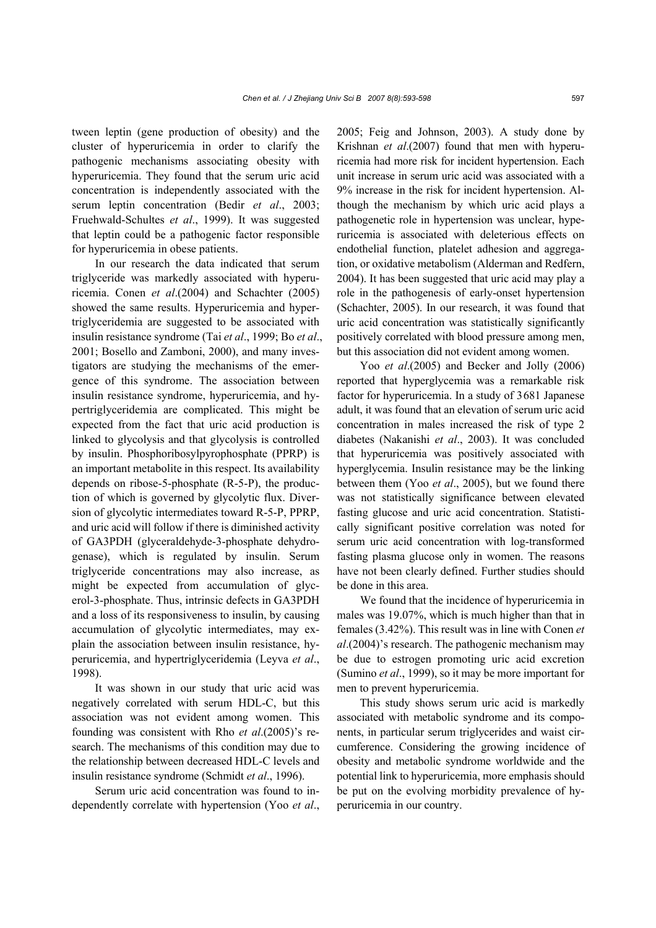tween leptin (gene production of obesity) and the cluster of hyperuricemia in order to clarify the pathogenic mechanisms associating obesity with hyperuricemia. They found that the serum uric acid concentration is independently associated with the serum leptin concentration (Bedir *et al*., 2003; Fruehwald-Schultes *et al*., 1999). It was suggested that leptin could be a pathogenic factor responsible for hyperuricemia in obese patients.

In our research the data indicated that serum triglyceride was markedly associated with hyperuricemia. Conen *et al*.(2004) and Schachter (2005) showed the same results. Hyperuricemia and hypertriglyceridemia are suggested to be associated with insulin resistance syndrome (Tai *et al*., 1999; Bo *et al*., 2001; Bosello and Zamboni, 2000), and many investigators are studying the mechanisms of the emergence of this syndrome. The association between insulin resistance syndrome, hyperuricemia, and hypertriglyceridemia are complicated. This might be expected from the fact that uric acid production is linked to glycolysis and that glycolysis is controlled by insulin. Phosphoribosylpyrophosphate (PPRP) is an important metabolite in this respect. Its availability depends on ribose-5-phosphate (R-5-P), the production of which is governed by glycolytic flux. Diversion of glycolytic intermediates toward R-5-P, PPRP, and uric acid will follow if there is diminished activity of GA3PDH (glyceraldehyde-3-phosphate dehydrogenase), which is regulated by insulin. Serum triglyceride concentrations may also increase, as might be expected from accumulation of glycerol-3-phosphate. Thus, intrinsic defects in GA3PDH and a loss of its responsiveness to insulin, by causing accumulation of glycolytic intermediates, may explain the association between insulin resistance, hyperuricemia, and hypertriglyceridemia (Leyva *et al*., 1998).

It was shown in our study that uric acid was negatively correlated with serum HDL-C, but this association was not evident among women. This founding was consistent with Rho *et al*.(2005)'s research. The mechanisms of this condition may due to the relationship between decreased HDL-C levels and insulin resistance syndrome (Schmidt *et al*., 1996).

Serum uric acid concentration was found to independently correlate with hypertension (Yoo *et al*., 2005; Feig and Johnson, 2003). A study done by Krishnan *et al*.(2007) found that men with hyperuricemia had more risk for incident hypertension. Each unit increase in serum uric acid was associated with a 9% increase in the risk for incident hypertension. Although the mechanism by which uric acid plays a pathogenetic role in hypertension was unclear, hyperuricemia is associated with deleterious effects on endothelial function, platelet adhesion and aggregation, or oxidative metabolism (Alderman and Redfern, 2004). It has been suggested that uric acid may play a role in the pathogenesis of early-onset hypertension (Schachter, 2005). In our research, it was found that uric acid concentration was statistically significantly positively correlated with blood pressure among men, but this association did not evident among women.

Yoo *et al*.(2005) and Becker and Jolly (2006) reported that hyperglycemia was a remarkable risk factor for hyperuricemia. In a study of 3681 Japanese adult, it was found that an elevation of serum uric acid concentration in males increased the risk of type 2 diabetes (Nakanishi *et al*., 2003). It was concluded that hyperuricemia was positively associated with hyperglycemia. Insulin resistance may be the linking between them (Yoo *et al*., 2005), but we found there was not statistically significance between elevated fasting glucose and uric acid concentration. Statistically significant positive correlation was noted for serum uric acid concentration with log-transformed fasting plasma glucose only in women. The reasons have not been clearly defined. Further studies should be done in this area.

We found that the incidence of hyperuricemia in males was 19.07%, which is much higher than that in females (3.42%). This result was in line with Conen *et al*.(2004)'s research. The pathogenic mechanism may be due to estrogen promoting uric acid excretion (Sumino *et al*., 1999), so it may be more important for men to prevent hyperuricemia.

This study shows serum uric acid is markedly associated with metabolic syndrome and its components, in particular serum triglycerides and waist circumference. Considering the growing incidence of obesity and metabolic syndrome worldwide and the potential link to hyperuricemia, more emphasis should be put on the evolving morbidity prevalence of hyperuricemia in our country.